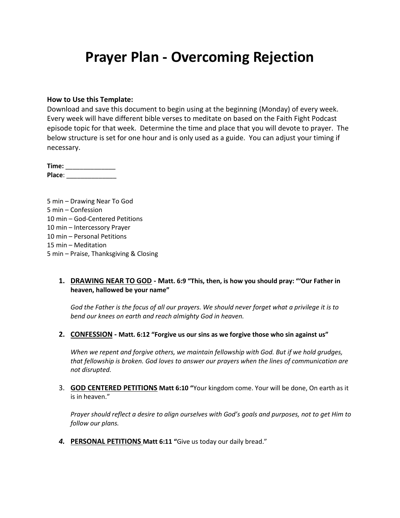## **Prayer Plan - Overcoming Rejection**

#### **How to Use this Template:**

Download and save this document to begin using at the beginning (Monday) of every week. Every week will have different bible verses to meditate on based on the Faith Fight Podcast episode topic for that week. Determine the time and place that you will devote to prayer. The below structure is set for one hour and is only used as a guide. You can adjust your timing if necessary.

**Time:** \_\_\_\_\_\_\_\_\_\_\_\_\_\_ **Place**: \_\_\_\_\_\_\_\_\_\_\_\_\_\_

5 min – Drawing Near To God 5 min – Confession 10 min – God-Centered Petitions 10 min – Intercessory Prayer 10 min – Personal Petitions 15 min – Meditation 5 min – Praise, Thanksgiving & Closing

## **1. DRAWING NEAR TO GOD - Matt. 6:9 "This, then, is how you should pray: "'Our Father in heaven, hallowed be your name"**

*God the Father is the focus of all our prayers. We should never forget what a privilege it is to bend our knees on earth and reach almighty God in heaven.*

**2. CONFESSION - Matt. 6:12 "Forgive us our sins as we forgive those who sin against us"**

*When we repent and forgive others, we maintain fellowship with God. But if we hold grudges, that fellowship is broken. God loves to answer our prayers when the lines of communication are not disrupted.*

3. **GOD CENTERED PETITIONS Matt 6:10 "**Your kingdom come. Your will be done, On earth as it is in heaven."

*Prayer should reflect a desire to align ourselves with God's goals and purposes, not to get Him to follow our plans.*

*4.* **PERSONAL PETITIONS Matt 6:11 "**Give us today our daily bread."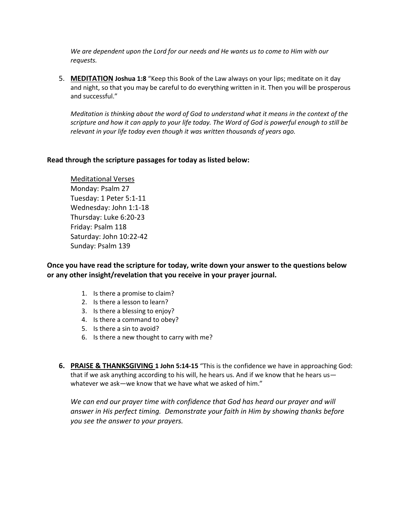*We are dependent upon the Lord for our needs and He wants us to come to Him with our requests.*

5. **MEDITATION Joshua 1:8** "Keep this Book of the Law always on your lips; meditate on it day and night, so that you may be careful to do everything written in it. Then you will be prosperous and successful."

*Meditation is thinking about the word of God to understand what it means in the context of the scripture and how it can apply to your life today. The Word of God is powerful enough to still be relevant in your life today even though it was written thousands of years ago.*

## **Read through the scripture passages for today as listed below:**

Meditational Verses Monday: Psalm 27 Tuesday: 1 Peter 5:1-11 Wednesday: John 1:1-18 Thursday: Luke 6:20-23 Friday: Psalm 118 Saturday: John 10:22-42 Sunday: Psalm 139

**Once you have read the scripture for today, write down your answer to the questions below or any other insight/revelation that you receive in your prayer journal.** 

- 1. Is there a promise to claim?
- 2. Is there a lesson to learn?
- 3. Is there a blessing to enjoy?
- 4. Is there a command to obey?
- 5. Is there a sin to avoid?
- 6. Is there a new thought to carry with me?
- **6. PRAISE & THANKSGIVING 1 John 5:14-15** "This is the confidence we have in approaching God: that if we ask anything according to his will, he hears us. And if we know that he hears us whatever we ask—we know that we have what we asked of him."

We can end our prayer time with confidence that God has heard our prayer and will *answer in His perfect timing. Demonstrate your faith in Him by showing thanks before you see the answer to your prayers.*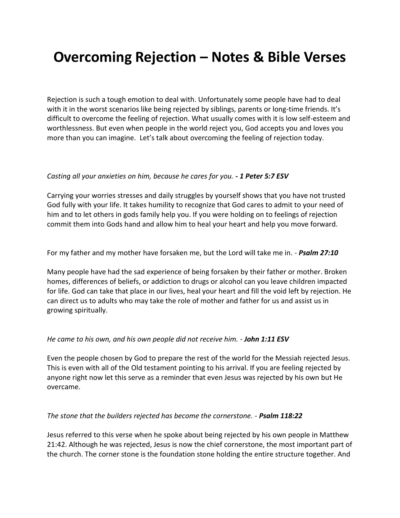# **Overcoming Rejection – Notes & Bible Verses**

Rejection is such a tough emotion to deal with. Unfortunately some people have had to deal with it in the worst scenarios like being rejected by siblings, parents or long-time friends. It's difficult to overcome the feeling of rejection. What usually comes with it is low self-esteem and worthlessness. But even when people in the world reject you, God accepts you and loves you more than you can imagine. Let's talk about overcoming the feeling of rejection today.

## *Casting all your anxieties on him, because he cares for you. - 1 Peter 5:7 ESV*

Carrying your worries stresses and daily struggles by yourself shows that you have not trusted God fully with your life. It takes humility to recognize that God cares to admit to your need of him and to let others in gods family help you. If you were holding on to feelings of rejection commit them into Gods hand and allow him to heal your heart and help you move forward.

For my father and my mother have forsaken me, but the Lord will take me in. - *Psalm 27:10*

Many people have had the sad experience of being forsaken by their father or mother. Broken homes, differences of beliefs, or addiction to drugs or alcohol can you leave children impacted for life. God can take that place in our lives, heal your heart and fill the void left by rejection. He can direct us to adults who may take the role of mother and father for us and assist us in growing spiritually.

### *He came to his own, and his own people did not receive him. - John 1:11 ESV*

Even the people chosen by God to prepare the rest of the world for the Messiah rejected Jesus. This is even with all of the Old testament pointing to his arrival. If you are feeling rejected by anyone right now let this serve as a reminder that even Jesus was rejected by his own but He overcame.

### *The stone that the builders rejected has become the cornerstone. - Psalm 118:22*

Jesus referred to this verse when he spoke about being rejected by his own people in Matthew 21:42. Although he was rejected, Jesus is now the chief cornerstone, the most important part of the church. The corner stone is the foundation stone holding the entire structure together. And